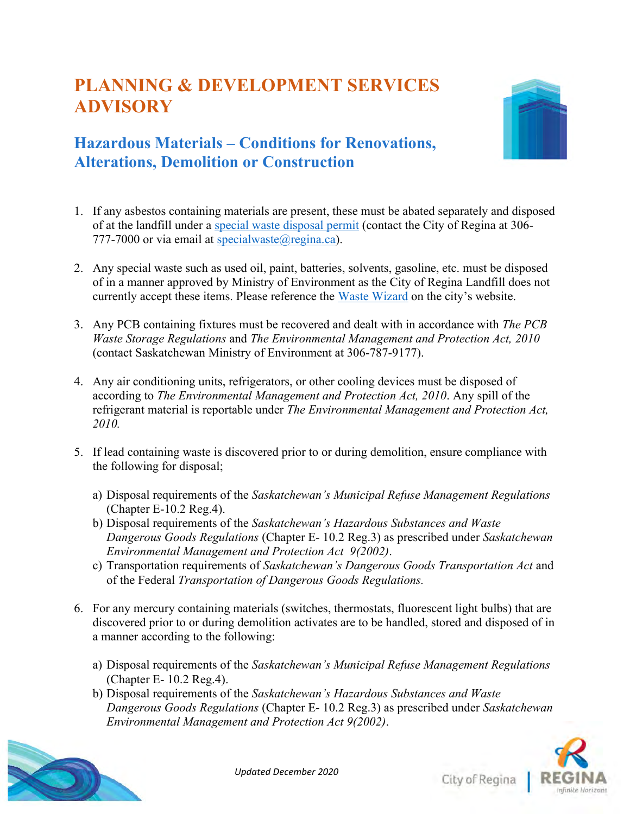## **PLANNING & DEVELOPMENT SERVICES ADVISORY**



## **Hazardous Materials – Conditions for Renovations, Alterations, Demolition or Construction**

- 1. If any asbestos containing materials are present, these must be abated separately and disposed of at the landfill under a [special waste disposal permit](https://www.regina.ca/export/sites/Regina.ca/home-property/recycling-garbage/.galleries/pdfs/Special-Waste-Disposal-Permit.pdf) (contact the City of Regina at 306- 777-7000 or via email at specialwaste $(\widehat{\alpha})$ regina.ca).
- 2. Any special waste such as used oil, paint, batteries, solvents, gasoline, etc. must be disposed of in a manner approved by Ministry of Environment as the City of Regina Landfill does not currently accept these items. Please reference the [Waste Wizard](https://www.regina.ca/home-property/recycling-garbage/) on the city's website.
- 3. Any PCB containing fixtures must be recovered and dealt with in accordance with *The PCB Waste Storage Regulations* and *The Environmental Management and Protection Act, 2010* (contact Saskatchewan Ministry of Environment at 306-787-9177).
- 4. Any air conditioning units, refrigerators, or other cooling devices must be disposed of according to *The Environmental Management and Protection Act, 2010*. Any spill of the refrigerant material is reportable under *The Environmental Management and Protection Act, 2010.*
- 5. If lead containing waste is discovered prior to or during demolition, ensure compliance with the following for disposal;
	- a) Disposal requirements of the *Saskatchewan's Municipal Refuse Management Regulations* (Chapter E-10.2 Reg.4).
	- b) Disposal requirements of the *Saskatchewan's Hazardous Substances and Waste Dangerous Goods Regulations* (Chapter E- 10.2 Reg.3) as prescribed under *Saskatchewan Environmental Management and Protection Act 9(2002)*.
	- c) Transportation requirements of *Saskatchewan's Dangerous Goods Transportation Act* and of the Federal *Transportation of Dangerous Goods Regulations.*
- 6. For any mercury containing materials (switches, thermostats, fluorescent light bulbs) that are discovered prior to or during demolition activates are to be handled, stored and disposed of in a manner according to the following:
	- a) Disposal requirements of the *Saskatchewan's Municipal Refuse Management Regulations*  (Chapter E- 10.2 Reg.4).
	- b) Disposal requirements of the *Saskatchewan's Hazardous Substances and Waste Dangerous Goods Regulations* (Chapter E- 10.2 Reg.3) as prescribed under *Saskatchewan Environmental Management and Protection Act 9(2002)*.





City of Regina